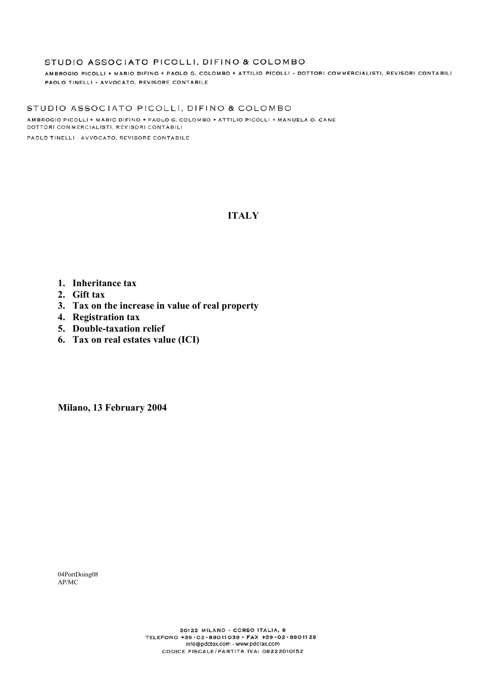AMBROGIO PICOLLI \* MARIO DIFINO \* PAOLO G. COLOMBO \* ATTILIO PICOLLI - DOTTORI COMMERCIALISTI, REVISORI CONTABILI PAOLO TINELLI - AVVOCATO, REVISORE CONTABILE

STUDIO ASSOCIATO PICOLLI, DIFINO & COLOMBO AMBROGIO PICOLLI \* MARIO DIFINO \* PAOLO G. COLOMBO \* ATTILIO PICOLLI \* MANUELA O. CANE DOTTORI COMMERCIALISTI, REVISORI CONTABILI

PAOLO TINELLI - AVVOCATO, REVISORE CONTABILE

# **ITALY**

- **1. Inheritance tax**
- **2. Gift tax**
- **3. Tax on the increase in value of real property**
- **4. Registration tax**
- **5. Double-taxation relief**
- **6. Tax on real estates value (ICI)**

**Milano, 13 February 2004** 

04PortDoing08 AP/MC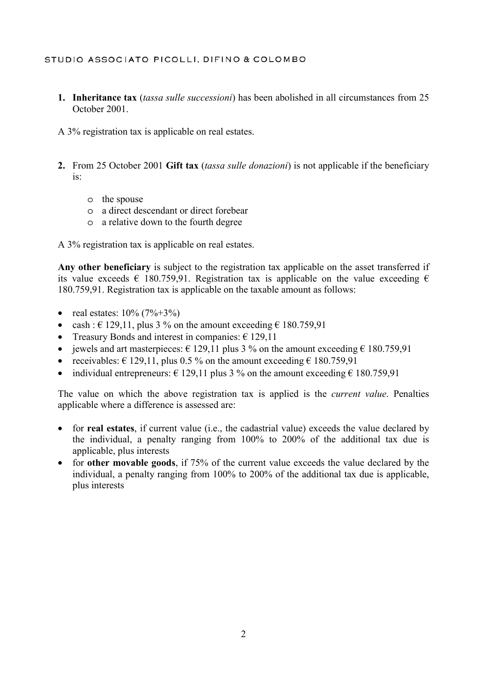**1. Inheritance tax** (*tassa sulle successioni*) has been abolished in all circumstances from 25 October 2001.

A 3% registration tax is applicable on real estates.

- **2.** From 25 October 2001 **Gift tax** (*tassa sulle donazioni*) is not applicable if the beneficiary is:
	- o the spouse
	- o a direct descendant or direct forebear
	- o a relative down to the fourth degree

A 3% registration tax is applicable on real estates.

**Any other beneficiary** is subject to the registration tax applicable on the asset transferred if its value exceeds  $\epsilon$  180.759,91. Registration tax is applicable on the value exceeding  $\epsilon$ 180.759,91. Registration tax is applicable on the taxable amount as follows:

- real estates:  $10\% (7\% + 3\%)$
- cash :  $\in$  129,11, plus 3 % on the amount exceeding  $\in$  180.759,91
- Treasury Bonds and interest in companies:  $\epsilon$  129,11
- jewels and art masterpieces:  $\epsilon$  129,11 plus 3 % on the amount exceeding  $\epsilon$  180.759,91
- receivables:  $\epsilon$  129,11, plus 0.5 % on the amount exceeding  $\epsilon$  180.759,91
- individual entrepreneurs:  $\epsilon$  129,11 plus 3 % on the amount exceeding  $\epsilon$  180.759.91

The value on which the above registration tax is applied is the *current value*. Penalties applicable where a difference is assessed are:

- for **real estates**, if current value (i.e., the cadastrial value) exceeds the value declared by the individual, a penalty ranging from 100% to 200% of the additional tax due is applicable, plus interests
- for **other movable goods**, if 75% of the current value exceeds the value declared by the individual, a penalty ranging from 100% to 200% of the additional tax due is applicable, plus interests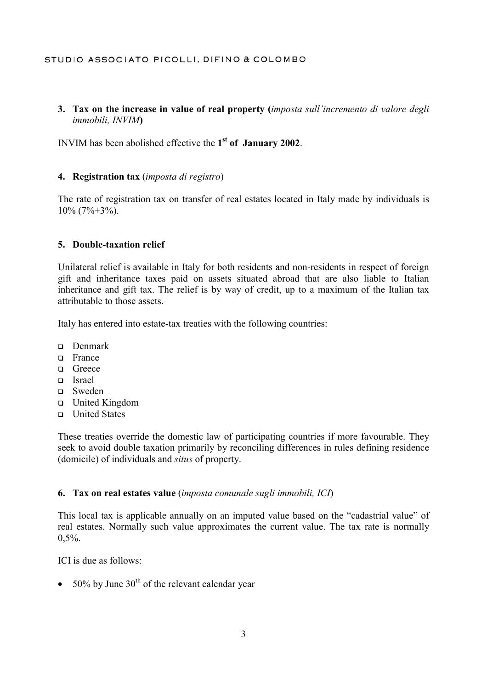# **3. Tax on the increase in value of real property (***imposta sull'incremento di valore degli immobili, INVIM***)**

INVIM has been abolished effective the **1st of January 2002**.

## **4. Registration tax** (*imposta di registro*)

The rate of registration tax on transfer of real estates located in Italy made by individuals is  $10\%$  (7%+3%).

## **5. Double-taxation relief**

Unilateral relief is available in Italy for both residents and non-residents in respect of foreign gift and inheritance taxes paid on assets situated abroad that are also liable to Italian inheritance and gift tax. The relief is by way of credit, up to a maximum of the Italian tax attributable to those assets.

Italy has entered into estate-tax treaties with the following countries:

- Denmark
- □ France
- □ Greece
- Israel
- Sweden
- United Kingdom
- United States

These treaties override the domestic law of participating countries if more favourable. They seek to avoid double taxation primarily by reconciling differences in rules defining residence (domicile) of individuals and *situs* of property.

## **6. Tax on real estates value** (*imposta comunale sugli immobili, ICI*)

This local tax is applicable annually on an imputed value based on the "cadastrial value" of real estates. Normally such value approximates the current value. The tax rate is normally  $0.5\%$ .

ICI is due as follows:

• 50% by June  $30<sup>th</sup>$  of the relevant calendar year